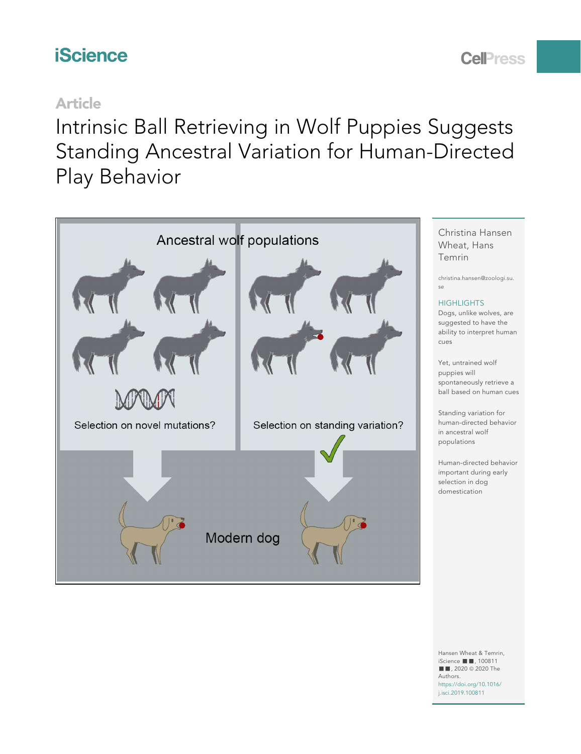# **iScience**

# **CelPress**

## Article

Intrinsic Ball Retrieving in Wolf Puppies Suggests Standing Ancestral Variation for Human-Directed Play Behavior



Hansen Wheat & Temrin, iScience ■■, 100811 ■ , 2020 © 2020 The Authors.

[https://doi.org/10.1016/](https://doi.org/10.1016/j.isci.2019.100811) [j.isci.2019.100811](https://doi.org/10.1016/j.isci.2019.100811)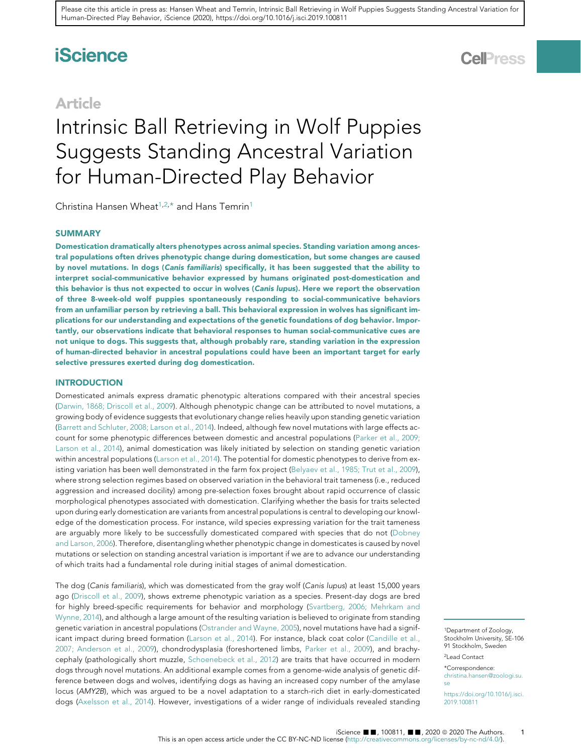# **iScience**

### Article

# Intrinsic Ball Retrieving in Wolf Puppies Suggests Standing Ancestral Variation for Human-Directed Play Behavior

Christina Hansen Wheat<sup>[1](#page-1-0)[,2](#page-1-1),[\\*](#page-1-2)</sup> and Hans Temrin<sup>1</sup>

#### **SUMMARY**

Domestication dramatically alters phenotypes across animal species. Standing variation among ancestral populations often drives phenotypic change during domestication, but some changes are caused by novel mutations. In dogs (Canis familiaris) specifically, it has been suggested that the ability to interpret social-communicative behavior expressed by humans originated post-domestication and this behavior is thus not expected to occur in wolves (Canis lupus). Here we report the observation of three 8-week-old wolf puppies spontaneously responding to social-communicative behaviors from an unfamiliar person by retrieving a ball. This behavioral expression in wolves has significant implications for our understanding and expectations of the genetic foundations of dog behavior. Importantly, our observations indicate that behavioral responses to human social-communicative cues are not unique to dogs. This suggests that, although probably rare, standing variation in the expression of human-directed behavior in ancestral populations could have been an important target for early selective pressures exerted during dog domestication.

#### **INTRODUCTION**

Domesticated animals express dramatic phenotypic alterations compared with their ancestral species ([Darwin, 1868; Driscoll et al., 2009\)](#page-4-0). Although phenotypic change can be attributed to novel mutations, a growing body of evidence suggests that evolutionary change relies heavily upon standing genetic variation ([Barrett and Schluter, 2008; Larson et al., 2014\)](#page-4-1). Indeed, although few novel mutations with large effects account for some phenotypic differences between domestic and ancestral populations [\(Parker et al., 2009;](#page-5-0) [Larson et al., 2014\)](#page-5-0), animal domestication was likely initiated by selection on standing genetic variation within ancestral populations ([Larson et al., 2014](#page-5-1)). The potential for domestic phenotypes to derive from existing variation has been well demonstrated in the farm fox project [\(Belyaev et al., 1985; Trut et al., 2009](#page-4-2)), where strong selection regimes based on observed variation in the behavioral trait tameness (i.e., reduced aggression and increased docility) among pre-selection foxes brought about rapid occurrence of classic morphological phenotypes associated with domestication. Clarifying whether the basis for traits selected upon during early domestication are variants from ancestral populations is central to developing our knowledge of the domestication process. For instance, wild species expressing variation for the trait tameness are arguably more likely to be successfully domesticated compared with species that do not ([Dobney](#page-4-3) [and Larson, 2006](#page-4-3)). Therefore, disentangling whether phenotypic change in domesticates is caused by novel mutations or selection on standing ancestral variation is important if we are to advance our understanding of which traits had a fundamental role during initial stages of animal domestication.

The dog (Canis familiaris), which was domesticated from the gray wolf (Canis lupus) at least 15,000 years ago ([Driscoll et al., 2009\)](#page-4-4), shows extreme phenotypic variation as a species. Present-day dogs are bred for highly breed-specific requirements for behavior and morphology ([Svartberg, 2006; Mehrkam and](#page-5-2) [Wynne, 2014](#page-5-2)), and although a large amount of the resulting variation is believed to originate from standing genetic variation in ancestral populations ([Ostrander and Wayne, 2005\)](#page-5-3), novel mutations have had a significant impact during breed formation [\(Larson et al., 2014](#page-5-1)). For instance, black coat color ([Candille et al.,](#page-4-5) [2007; Anderson et al., 2009](#page-4-5)), chondrodysplasia (foreshortened limbs, [Parker et al., 2009\)](#page-5-0), and brachycephaly (pathologically short muzzle, [Schoenebeck et al., 2012](#page-5-4)) are traits that have occurred in modern dogs through novel mutations. An additional example comes from a genome-wide analysis of genetic difference between dogs and wolves, identifying dogs as having an increased copy number of the amylase locus (AMY2B), which was argued to be a novel adaptation to a starch-rich diet in early-domesticated dogs [\(Axelsson et al., 2014](#page-4-6)). However, investigations of a wider range of individuals revealed standing

**CelPress** 

1

<span id="page-1-0"></span><sup>1</sup>Department of Zoology, Stockholm University, SE-106 91 Stockholm, Sweden 2Lead Contact

<span id="page-1-2"></span><span id="page-1-1"></span><sup>\*</sup>Correspondence:

[christina.hansen@zoologi.su.](mailto:christina.hansen@zoologi.su.se) [se](mailto:christina.hansen@zoologi.su.se)

[https://doi.org/10.1016/j.isci.](https://doi.org/10.1016/j.isci.2019.100811) [2019.100811](https://doi.org/10.1016/j.isci.2019.100811)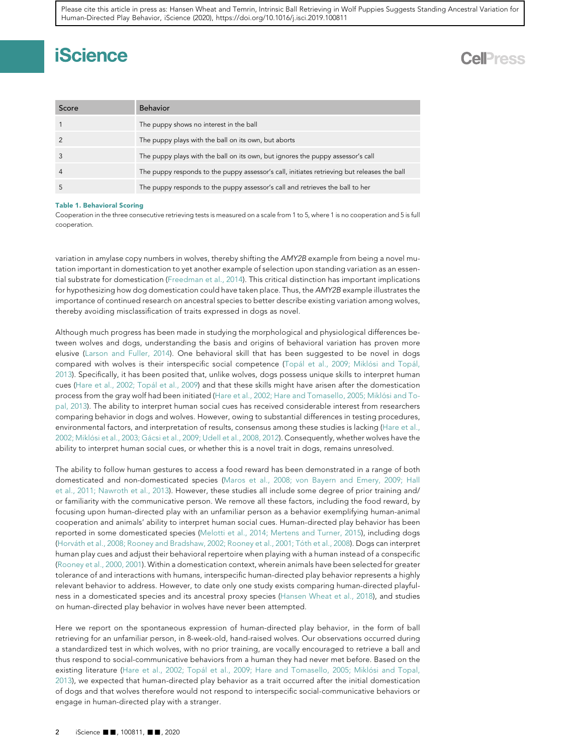# **iScience**

## **Cell**<sub>ress</sub>

<span id="page-2-0"></span>

| Score          | <b>Behavior</b>                                                                             |
|----------------|---------------------------------------------------------------------------------------------|
|                | The puppy shows no interest in the ball                                                     |
|                | The puppy plays with the ball on its own, but aborts                                        |
|                | The puppy plays with the ball on its own, but ignores the puppy assessor's call             |
| $\overline{4}$ | The puppy responds to the puppy assessor's call, initiates retrieving but releases the ball |
|                | The puppy responds to the puppy assessor's call and retrieves the ball to her               |

#### Table 1. Behavioral Scoring

Cooperation in the three consecutive retrieving tests is measured on a scale from 1 to 5, where 1 is no cooperation and 5 is full cooperation.

variation in amylase copy numbers in wolves, thereby shifting the AMY2B example from being a novel mutation important in domestication to yet another example of selection upon standing variation as an essential substrate for domestication [\(Freedman et al., 2014](#page-4-7)). This critical distinction has important implications for hypothesizing how dog domestication could have taken place. Thus, the AMY2B example illustrates the importance of continued research on ancestral species to better describe existing variation among wolves, thereby avoiding misclassification of traits expressed in dogs as novel.

Although much progress has been made in studying the morphological and physiological differences between wolves and dogs, understanding the basis and origins of behavioral variation has proven more elusive [\(Larson and Fuller, 2014](#page-5-5)). One behavioral skill that has been suggested to be novel in dogs compared with wolves is their interspecific social competence (Topál et al., 2009; Miklósi and Topál, [2013\)](#page-5-6). Specifically, it has been posited that, unlike wolves, dogs possess unique skills to interpret human cues (Hare et al., 2002; Topál et al., 2009) and that these skills might have arisen after the domestication process from the gray wolf had been initiated (Hare et al., 2002; Hare and Tomasello, 2005; Miklósi and To[pal, 2013](#page-5-7)). The ability to interpret human social cues has received considerable interest from researchers comparing behavior in dogs and wolves. However, owing to substantial differences in testing procedures, environmental factors, and interpretation of results, consensus among these studies is lacking [\(Hare et al.,](#page-5-7) 2002; Miklósi et al., 2003; Gá[csi et al., 2009; Udell et al., 2008, 2012\)](#page-5-7). Consequently, whether wolves have the ability to interpret human social cues, or whether this is a novel trait in dogs, remains unresolved.

The ability to follow human gestures to access a food reward has been demonstrated in a range of both domesticated and non-domesticated species [\(Maros et al., 2008; von Bayern and Emery, 2009; Hall](#page-5-8) [et al., 2011; Nawroth et al., 2013](#page-5-8)). However, these studies all include some degree of prior training and/ or familiarity with the communicative person. We remove all these factors, including the food reward, by focusing upon human-directed play with an unfamiliar person as a behavior exemplifying human-animal cooperation and animals' ability to interpret human social cues. Human-directed play behavior has been reported in some domesticated species ([Melotti et al., 2014; Mertens and Turner, 2015](#page-5-9)), including dogs (Horváth et al., 2008; Rooney and Bradshaw, 2002; Rooney et al., 2001; Tóth et al., 2008). Dogs can interpret human play cues and adjust their behavioral repertoire when playing with a human instead of a conspecific ([Rooney et al., 2000, 2001](#page-5-11)). Within a domestication context, wherein animals have been selected for greater tolerance of and interactions with humans, interspecific human-directed play behavior represents a highly relevant behavior to address. However, to date only one study exists comparing human-directed playfulness in a domesticated species and its ancestral proxy species [\(Hansen Wheat et al., 2018](#page-4-8)), and studies on human-directed play behavior in wolves have never been attempted.

Here we report on the spontaneous expression of human-directed play behavior, in the form of ball retrieving for an unfamiliar person, in 8-week-old, hand-raised wolves. Our observations occurred during a standardized test in which wolves, with no prior training, are vocally encouraged to retrieve a ball and thus respond to social-communicative behaviors from a human they had never met before. Based on the existing literature (Hare et al., 2002; Topál et al., 2009; Hare and Tomasello, 2005; Miklósi and Topal, [2013\)](#page-5-7), we expected that human-directed play behavior as a trait occurred after the initial domestication of dogs and that wolves therefore would not respond to interspecific social-communicative behaviors or engage in human-directed play with a stranger.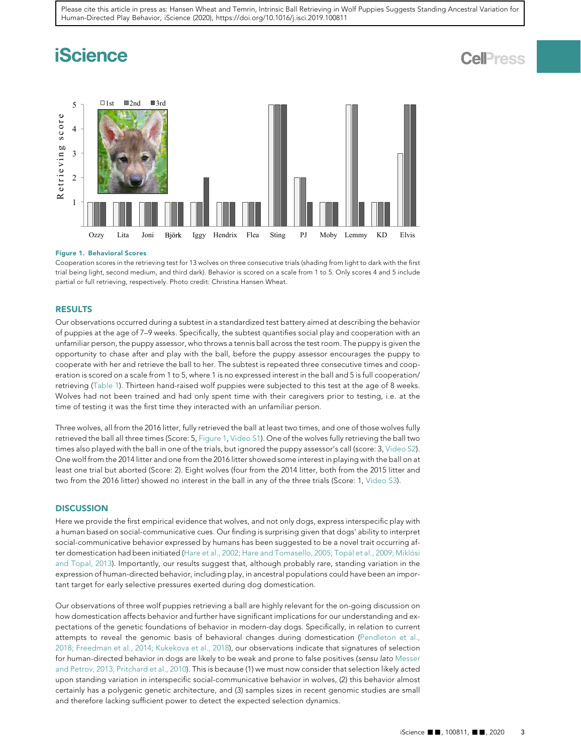# **iScience**

## **Cell**<sup>ress</sup>

<span id="page-3-0"></span>

#### Figure 1. Behavioral Scores

Cooperation scores in the retrieving test for 13 wolves on three consecutive trials (shading from light to dark with the first trial being light, second medium, and third dark). Behavior is scored on a scale from 1 to 5. Only scores 4 and 5 include partial or full retrieving, respectively. Photo credit: Christina Hansen Wheat.

#### RESULTS

Our observations occurred during a subtest in a standardized test battery aimed at describing the behavior of puppies at the age of 7–9 weeks. Specifically, the subtest quantifies social play and cooperation with an unfamiliar person, the puppy assessor, who throws a tennis ball across the test room. The puppy is given the opportunity to chase after and play with the ball, before the puppy assessor encourages the puppy to cooperate with her and retrieve the ball to her. The subtest is repeated three consecutive times and cooperation is scored on a scale from 1 to 5, where 1 is no expressed interest in the ball and 5 is full cooperation/ retrieving ([Table 1\)](#page-2-0). Thirteen hand-raised wolf puppies were subjected to this test at the age of 8 weeks. Wolves had not been trained and had only spent time with their caregivers prior to testing, i.e. at the time of testing it was the first time they interacted with an unfamiliar person.

Three wolves, all from the 2016 litter, fully retrieved the ball at least two times, and one of those wolves fully retrieved the ball all three times (Score: 5, [Figure 1,](#page-3-0) [Video S1\)](#page-4-9). One of the wolves fully retrieving the ball two times also played with the ball in one of the trials, but ignored the puppy assessor's call (score: 3, [Video S2](#page-4-9)). One wolf from the 2014 litter and one from the 2016 litter showed some interest in playing with the ball on at least one trial but aborted (Score: 2). Eight wolves (four from the 2014 litter, both from the 2015 litter and two from the 2016 litter) showed no interest in the ball in any of the three trials (Score: 1, [Video S3](#page-4-9)).

#### **DISCUSSION**

Here we provide the first empirical evidence that wolves, and not only dogs, express interspecific play with a human based on social-communicative cues. Our finding is surprising given that dogs' ability to interpret social-communicative behavior expressed by humans has been suggested to be a novel trait occurring after domestication had been initiated (Hare et al., 2002; Hare and Tomasello, 2005; Topál et al., 2009; Miklósi [and Topal, 2013](#page-5-7)). Importantly, our results suggest that, although probably rare, standing variation in the expression of human-directed behavior, including play, in ancestral populations could have been an important target for early selective pressures exerted during dog domestication.

Our observations of three wolf puppies retrieving a ball are highly relevant for the on-going discussion on how domestication affects behavior and further have significant implications for our understanding and expectations of the genetic foundations of behavior in modern-day dogs. Specifically, in relation to current attempts to reveal the genomic basis of behavioral changes during domestication ([Pendleton et al.,](#page-5-12) [2018; Freedman et al., 2014; Kukekova et al., 2018\)](#page-5-12), our observations indicate that signatures of selection for human-directed behavior in dogs are likely to be weak and prone to false positives (sensu lato [Messer](#page-5-13) [and Petrov, 2013; Pritchard et al., 2010\)](#page-5-13). This is because (1) we must now consider that selection likely acted upon standing variation in interspecific social-communicative behavior in wolves, (2) this behavior almost certainly has a polygenic genetic architecture, and (3) samples sizes in recent genomic studies are small and therefore lacking sufficient power to detect the expected selection dynamics.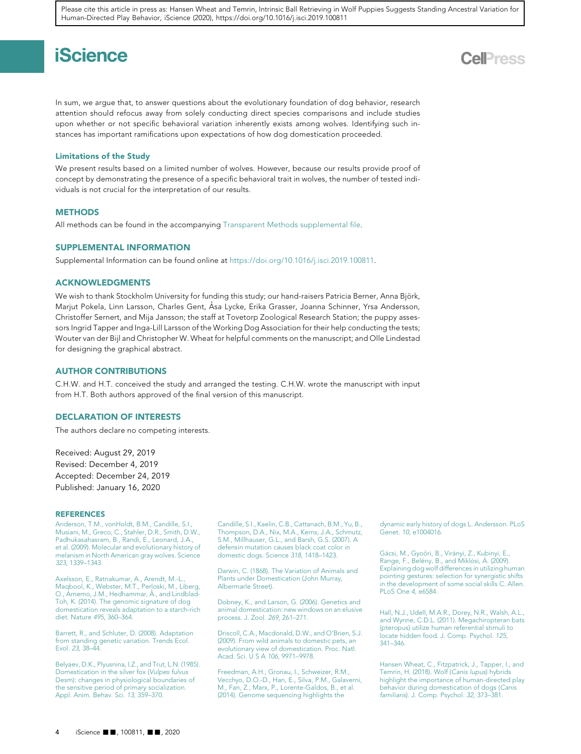# **iScience**

In sum, we argue that, to answer questions about the evolutionary foundation of dog behavior, research attention should refocus away from solely conducting direct species comparisons and include studies upon whether or not specific behavioral variation inherently exists among wolves. Identifying such instances has important ramifications upon expectations of how dog domestication proceeded.

#### Limitations of the Study

We present results based on a limited number of wolves. However, because our results provide proof of concept by demonstrating the presence of a specific behavioral trait in wolves, the number of tested individuals is not crucial for the interpretation of our results.

#### **METHODS**

All methods can be found in the accompanying [Transparent Methods supplemental file](#page-4-9).

#### <span id="page-4-9"></span>SUPPLEMENTAL INFORMATION

Supplemental Information can be found online at [https://doi.org/10.1016/j.isci.2019.100811.](https://doi.org/10.1016/j.isci.2019.100811)

#### ACKNOWLEDGMENTS

We wish to thank Stockholm University for funding this study; our hand-raisers Patricia Berner, Anna Björk, Marjut Pokela, Linn Larsson, Charles Gent, Åsa Lycke, Erika Grasser, Joanna Schinner, Yrsa Andersson, Christoffer Sernert, and Mija Jansson; the staff at Tovetorp Zoological Research Station; the puppy assessors Ingrid Tapper and Inga-Lill Larsson of the Working Dog Association for their help conducting the tests; Wouter van der Bijl and Christopher W. Wheat for helpful comments on the manuscript; and Olle Lindestad for designing the graphical abstract.

#### AUTHOR CONTRIBUTIONS

C.H.W. and H.T. conceived the study and arranged the testing. C.H.W. wrote the manuscript with input from H.T. Both authors approved of the final version of this manuscript.

#### DECLARATION OF INTERESTS

The authors declare no competing interests.

Received: August 29, 2019 Revised: December 4, 2019 Accepted: December 24, 2019 Published: January 16, 2020

#### **REFERENCES**

[Anderson, T.M., vonHoldt, B.M., Candille, S.I.,](http://refhub.elsevier.com/S2589-0042(19)30557-7/sref1) [Musiani, M., Greco, C., Stahler, D.R., Smith, D.W.,](http://refhub.elsevier.com/S2589-0042(19)30557-7/sref1) [Padhukasahasram, B., Randi, E., Leonard, J.A.,](http://refhub.elsevier.com/S2589-0042(19)30557-7/sref1) [et al. \(2009\). Molecular and evolutionary history of](http://refhub.elsevier.com/S2589-0042(19)30557-7/sref1) [melanism in North American gray wolves. Science](http://refhub.elsevier.com/S2589-0042(19)30557-7/sref1) 323[, 1339–1343.](http://refhub.elsevier.com/S2589-0042(19)30557-7/sref1)

<span id="page-4-6"></span>[Axelsson, E., Ratnakumar, A., Arendt, M.-L.,](http://refhub.elsevier.com/S2589-0042(19)30557-7/sref2) [Maqbool, K., Webster, M.T., Perloski, M., Liberg,](http://refhub.elsevier.com/S2589-0042(19)30557-7/sref2) O., Arnemo, J.M., Hedhammar, Å., and Lindblad-[Toh, K. \(2014\). The genomic signature of dog](http://refhub.elsevier.com/S2589-0042(19)30557-7/sref2) [domestication reveals adaptation to a starch-rich](http://refhub.elsevier.com/S2589-0042(19)30557-7/sref2) [diet. Nature](http://refhub.elsevier.com/S2589-0042(19)30557-7/sref2) 495, 360–364.

<span id="page-4-1"></span>[Barrett, R., and Schluter, D. \(2008\). Adaptation](http://refhub.elsevier.com/S2589-0042(19)30557-7/sref3) [from standing genetic variation. Trends Ecol.](http://refhub.elsevier.com/S2589-0042(19)30557-7/sref3) Evol. 23[, 38–44.](http://refhub.elsevier.com/S2589-0042(19)30557-7/sref3)

<span id="page-4-2"></span>[Belyaev, D.K., Plyusnina, I.Z., and Trut, L.N. \(1985\).](http://refhub.elsevier.com/S2589-0042(19)30557-7/sref4) [Domestication in the silver fox \(](http://refhub.elsevier.com/S2589-0042(19)30557-7/sref4)Vulpes fulvus [Desm\): changes in physiological boundaries of](http://refhub.elsevier.com/S2589-0042(19)30557-7/sref4) [the sensitive period of primary socialization.](http://refhub.elsevier.com/S2589-0042(19)30557-7/sref4) [Appl. Anim. Behav. Sci.](http://refhub.elsevier.com/S2589-0042(19)30557-7/sref4) 13, 359–370.

<span id="page-4-5"></span>[Candille, S.I., Kaelin, C.B., Cattanach, B.M., Yu, B.,](http://refhub.elsevier.com/S2589-0042(19)30557-7/sref5) [Thompson, D.A., Nix, M.A., Kerns, J.A., Schmutz,](http://refhub.elsevier.com/S2589-0042(19)30557-7/sref5) [S.M., Millhauser, G.L., and Barsh, G.S. \(2007\). A](http://refhub.elsevier.com/S2589-0042(19)30557-7/sref5) [defensin mutation causes black coat color in](http://refhub.elsevier.com/S2589-0042(19)30557-7/sref5) [domestic dogs. Science](http://refhub.elsevier.com/S2589-0042(19)30557-7/sref5) 318, 1418–1423.

<span id="page-4-0"></span>[Darwin, C. \(1868\). The Variation of Animals and](http://refhub.elsevier.com/S2589-0042(19)30557-7/sref6) [Plants under Domestication \(John Murray,](http://refhub.elsevier.com/S2589-0042(19)30557-7/sref6) [Albermarle Street\).](http://refhub.elsevier.com/S2589-0042(19)30557-7/sref6)

<span id="page-4-3"></span>[Dobney, K., and Larson, G. \(2006\). Genetics and](http://refhub.elsevier.com/S2589-0042(19)30557-7/sref7) [animal domestication: new windows on an elusive](http://refhub.elsevier.com/S2589-0042(19)30557-7/sref7) [process. J. Zool.](http://refhub.elsevier.com/S2589-0042(19)30557-7/sref7) 269, 261–271.

<span id="page-4-4"></span>[Driscoll, C.A., Macdonald, D.W., and O'Brien, S.J.](http://refhub.elsevier.com/S2589-0042(19)30557-7/sref8) [\(2009\). From wild animals to domestic pets, an](http://refhub.elsevier.com/S2589-0042(19)30557-7/sref8) [evolutionary view of domestication. Proc. Natl.](http://refhub.elsevier.com/S2589-0042(19)30557-7/sref8) [Acad. Sci. U S A](http://refhub.elsevier.com/S2589-0042(19)30557-7/sref8) 106, 9971–9978.

<span id="page-4-7"></span>[Freedman, A.H., Gronau, I., Schweizer, R.M.,](http://refhub.elsevier.com/S2589-0042(19)30557-7/sref9) [Vecchyo, D.O.-D., Han, E., Silva, P.M., Galaverni,](http://refhub.elsevier.com/S2589-0042(19)30557-7/sref9) [M., Fan, Z., Marx, P., Lorente-Galdos, B., et al.](http://refhub.elsevier.com/S2589-0042(19)30557-7/sref9) [\(2014\). Genome sequencing highlights the](http://refhub.elsevier.com/S2589-0042(19)30557-7/sref9)

[dynamic early history of dogs L. Andersson. PLoS](http://refhub.elsevier.com/S2589-0042(19)30557-7/sref9) Genet. 10[, e1004016.](http://refhub.elsevier.com/S2589-0042(19)30557-7/sref9)

Gácsi, M., Gyoöri, B., Virá[nyi, Z., Kubinyi, E.,](http://refhub.elsevier.com/S2589-0042(19)30557-7/sref10) Range, F., Belény, B., and Miklósi, Á. (2009). [Explaining dog wolf differences in utilizing human](http://refhub.elsevier.com/S2589-0042(19)30557-7/sref10) [pointing gestures: selection for synergistic shifts](http://refhub.elsevier.com/S2589-0042(19)30557-7/sref10) [in the development of some social skills C. Allen.](http://refhub.elsevier.com/S2589-0042(19)30557-7/sref10) [PLoS One](http://refhub.elsevier.com/S2589-0042(19)30557-7/sref10) 4, e6584.

[Hall, N.J., Udell, M.A.R., Dorey, N.R., Walsh, A.L.,](http://refhub.elsevier.com/S2589-0042(19)30557-7/sref11) [and Wynne, C.D.L. \(2011\). Megachiropteran bats](http://refhub.elsevier.com/S2589-0042(19)30557-7/sref11) [\(pteropus\) utilize human referential stimuli to](http://refhub.elsevier.com/S2589-0042(19)30557-7/sref11) [locate hidden food. J. Comp. Psychol.](http://refhub.elsevier.com/S2589-0042(19)30557-7/sref11) 125, [341–346.](http://refhub.elsevier.com/S2589-0042(19)30557-7/sref11)

<span id="page-4-8"></span>[Hansen Wheat, C., Fitzpatrick, J., Tapper, I., and](http://refhub.elsevier.com/S2589-0042(19)30557-7/sref12) [Temrin, H. \(2018\). Wolf \(](http://refhub.elsevier.com/S2589-0042(19)30557-7/sref12)Canis lupus) hybrids [highlight the importance of human-directed play](http://refhub.elsevier.com/S2589-0042(19)30557-7/sref12) [behavior during domestication of dogs \(](http://refhub.elsevier.com/S2589-0042(19)30557-7/sref12)Canis familiaris[\). J. Comp. Psychol.](http://refhub.elsevier.com/S2589-0042(19)30557-7/sref12) 32, 373–381.

## **Cell**<sup>ress</sup>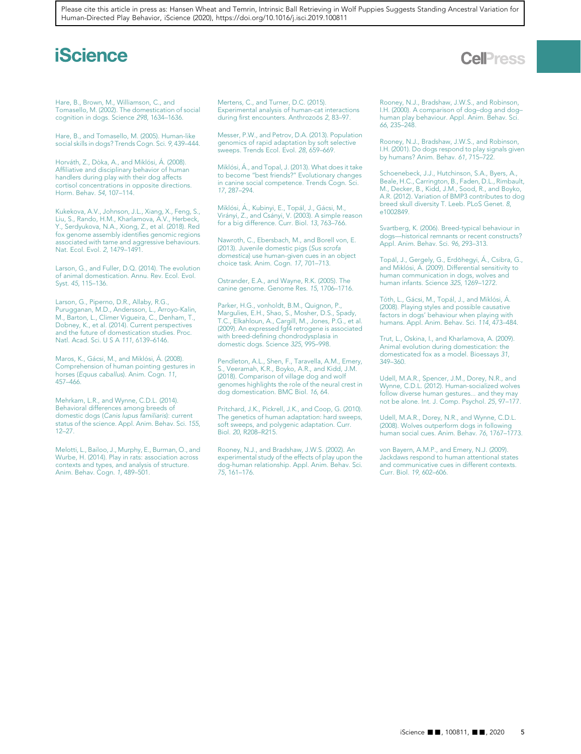## **iScience**

## **CellPress**

<span id="page-5-7"></span>[Hare, B., Brown, M., Williamson, C., and](http://refhub.elsevier.com/S2589-0042(19)30557-7/sref13) [Tomasello, M. \(2002\). The domestication of social](http://refhub.elsevier.com/S2589-0042(19)30557-7/sref13) [cognition in dogs. Science](http://refhub.elsevier.com/S2589-0042(19)30557-7/sref13) 298, 1634–1636.

[Hare, B., and Tomasello, M. \(2005\). Human-like](http://refhub.elsevier.com/S2589-0042(19)30557-7/sref14) [social skills in dogs? Trends Cogn. Sci.](http://refhub.elsevier.com/S2589-0042(19)30557-7/sref14) 9, 439–444.

<span id="page-5-10"></span>Horváth, Z., Dòka, A., and Miklósi, Á. (2008). [Affiliative and disciplinary behavior of human](http://refhub.elsevier.com/S2589-0042(19)30557-7/sref15) [handlers during play with their dog affects](http://refhub.elsevier.com/S2589-0042(19)30557-7/sref15) [cortisol concentrations in opposite directions.](http://refhub.elsevier.com/S2589-0042(19)30557-7/sref15) [Horm. Behav.](http://refhub.elsevier.com/S2589-0042(19)30557-7/sref15) 54, 107–114.

[Kukekova, A.V., Johnson, J.L., Xiang, X., Feng, S.,](http://refhub.elsevier.com/S2589-0042(19)30557-7/sref16) [Liu, S., Rando, H.M., Kharlamova, A.V., Herbeck,](http://refhub.elsevier.com/S2589-0042(19)30557-7/sref16) [Y., Serdyukova, N.A., Xiong, Z., et al. \(2018\). Red](http://refhub.elsevier.com/S2589-0042(19)30557-7/sref16) [fox genome assembly identifies genomic regions](http://refhub.elsevier.com/S2589-0042(19)30557-7/sref16) [associated with tame and aggressive behaviours.](http://refhub.elsevier.com/S2589-0042(19)30557-7/sref16) [Nat. Ecol. Evol.](http://refhub.elsevier.com/S2589-0042(19)30557-7/sref16) 2, 1479–1491.

<span id="page-5-5"></span>[Larson, G., and Fuller, D.Q. \(2014\). The evolution](http://refhub.elsevier.com/S2589-0042(19)30557-7/sref17) [of animal domestication. Annu. Rev. Ecol. Evol.](http://refhub.elsevier.com/S2589-0042(19)30557-7/sref17) Syst. 45[, 115–136.](http://refhub.elsevier.com/S2589-0042(19)30557-7/sref17)

<span id="page-5-1"></span>[Larson, G., Piperno, D.R., Allaby, R.G.,](http://refhub.elsevier.com/S2589-0042(19)30557-7/sref18) [Purugganan, M.D., Andersson, L., Arroyo-Kalin,](http://refhub.elsevier.com/S2589-0042(19)30557-7/sref18) [M., Barton, L., Climer Vigueira, C., Denham, T.,](http://refhub.elsevier.com/S2589-0042(19)30557-7/sref18) [Dobney, K., et al. \(2014\). Current perspectives](http://refhub.elsevier.com/S2589-0042(19)30557-7/sref18) [and the future of domestication studies. Proc.](http://refhub.elsevier.com/S2589-0042(19)30557-7/sref18) [Natl. Acad. Sci. U S A](http://refhub.elsevier.com/S2589-0042(19)30557-7/sref18) 111, 6139–6146.

<span id="page-5-8"></span>Maros, K., Gácsi, M., and Miklósi, Á. (2008). [Comprehension of human pointing gestures in](http://refhub.elsevier.com/S2589-0042(19)30557-7/sref19) horses (Equus caballus[\). Anim. Cogn.](http://refhub.elsevier.com/S2589-0042(19)30557-7/sref19) 11, [457–466.](http://refhub.elsevier.com/S2589-0042(19)30557-7/sref19)

<span id="page-5-9"></span>[Mehrkam, L.R., and Wynne, C.D.L. \(2014\).](http://refhub.elsevier.com/S2589-0042(19)30557-7/sref20) [Behavioral differences among breeds of](http://refhub.elsevier.com/S2589-0042(19)30557-7/sref20) [domestic dogs \(](http://refhub.elsevier.com/S2589-0042(19)30557-7/sref20)Canis lupus familiaris): current [status of the science. Appl. Anim. Behav. Sci.](http://refhub.elsevier.com/S2589-0042(19)30557-7/sref20) 155, [12–27.](http://refhub.elsevier.com/S2589-0042(19)30557-7/sref20)

[Melotti, L., Bailoo, J., Murphy, E., Burman, O., and](http://refhub.elsevier.com/S2589-0042(19)30557-7/sref21) [Wurbe, H. \(2014\). Play in rats: association across](http://refhub.elsevier.com/S2589-0042(19)30557-7/sref21) [contexts and types, and analysis of structure.](http://refhub.elsevier.com/S2589-0042(19)30557-7/sref21) [Anim. Behav. Cogn.](http://refhub.elsevier.com/S2589-0042(19)30557-7/sref21) 1, 489–501.

[Mertens, C., and Turner, D.C. \(2015\).](http://refhub.elsevier.com/S2589-0042(19)30557-7/sref22) [Experimental analysis of human-cat interactions](http://refhub.elsevier.com/S2589-0042(19)30557-7/sref22) during first encounters. Anthrozoös 2, 83-97.

<span id="page-5-13"></span>[Messer, P.W., and Petrov, D.A. \(2013\). Population](http://refhub.elsevier.com/S2589-0042(19)30557-7/sref23) [genomics of rapid adaptation by soft selective](http://refhub.elsevier.com/S2589-0042(19)30557-7/sref23) [sweeps. Trends Ecol. Evol.](http://refhub.elsevier.com/S2589-0042(19)30557-7/sref23) 28, 659–669.

Miklósi, Á[., and Topal, J. \(2013\). What does it take](http://refhub.elsevier.com/S2589-0042(19)30557-7/sref24)<br>to become "best friends?" Evolutionary changes [in canine social competence. Trends Cogn. Sci.](http://refhub.elsevier.com/S2589-0042(19)30557-7/sref24) 17[, 287–294.](http://refhub.elsevier.com/S2589-0042(19)30557-7/sref24)

Miklósi, Á., Kubinyi, E., Topál, J., Gácsi, M., Virányi, Z., and Csányi, V. (2003). A simple reason<br>[for a big difference. Curr. Biol.](http://refhub.elsevier.com/S2589-0042(19)30557-7/sref25) 13, 763–766.

[Nawroth, C., Ebersbach, M., and Borell von, E.](http://refhub.elsevier.com/S2589-0042(19)30557-7/sref26) [\(2013\). Juvenile domestic pigs \(](http://refhub.elsevier.com/S2589-0042(19)30557-7/sref26)Sus scrofa domestica[\) use human-given cues in an object](http://refhub.elsevier.com/S2589-0042(19)30557-7/sref26) [choice task. Anim. Cogn.](http://refhub.elsevier.com/S2589-0042(19)30557-7/sref26) 17, 701–713.

<span id="page-5-3"></span>[Ostrander, E.A., and Wayne, R.K. \(2005\). The](http://refhub.elsevier.com/S2589-0042(19)30557-7/sref27) [canine genome. Genome Res.](http://refhub.elsevier.com/S2589-0042(19)30557-7/sref27) 15, 1706–1716.

<span id="page-5-0"></span>[Parker, H.G., vonholdt, B.M., Quignon, P.,](http://refhub.elsevier.com/S2589-0042(19)30557-7/sref28) [Margulies, E.H., Shao, S., Mosher, D.S., Spady,](http://refhub.elsevier.com/S2589-0042(19)30557-7/sref28) [T.C., Elkahloun, A., Cargill, M., Jones, P.G., et al.](http://refhub.elsevier.com/S2589-0042(19)30557-7/sref28) [\(2009\). An expressed fgf4 retrogene is associated](http://refhub.elsevier.com/S2589-0042(19)30557-7/sref28) [with breed-defining chondrodysplasia in](http://refhub.elsevier.com/S2589-0042(19)30557-7/sref28) [domestic dogs. Science](http://refhub.elsevier.com/S2589-0042(19)30557-7/sref28) 325, 995-998.

<span id="page-5-12"></span>[Pendleton, A.L., Shen, F., Taravella, A.M., Emery,](http://refhub.elsevier.com/S2589-0042(19)30557-7/sref29) [S., Veeramah, K.R., Boyko, A.R., and Kidd, J.M.](http://refhub.elsevier.com/S2589-0042(19)30557-7/sref29) [\(2018\). Comparison of village dog and wolf](http://refhub.elsevier.com/S2589-0042(19)30557-7/sref29) [genomes highlights the role of the neural crest in](http://refhub.elsevier.com/S2589-0042(19)30557-7/sref29) [dog domestication. BMC Biol.](http://refhub.elsevier.com/S2589-0042(19)30557-7/sref29) 16, 64.

[Pritchard, J.K., Pickrell, J.K., and Coop, G. \(2010\).](http://refhub.elsevier.com/S2589-0042(19)30557-7/sref30) [The genetics of human adaptation: hard sweeps,](http://refhub.elsevier.com/S2589-0042(19)30557-7/sref30) [soft sweeps, and polygenic adaptation. Curr.](http://refhub.elsevier.com/S2589-0042(19)30557-7/sref30) Biol. 20[, R208–R215.](http://refhub.elsevier.com/S2589-0042(19)30557-7/sref30)

[Rooney, N.J., and Bradshaw, J.W.S. \(2002\). An](http://refhub.elsevier.com/S2589-0042(19)30557-7/sref31) [experimental study of the effects of play upon the](http://refhub.elsevier.com/S2589-0042(19)30557-7/sref31) [dog-human relationship. Appl. Anim. Behav. Sci.](http://refhub.elsevier.com/S2589-0042(19)30557-7/sref31) 75[, 161–176.](http://refhub.elsevier.com/S2589-0042(19)30557-7/sref31)

<span id="page-5-11"></span>[Rooney, N.J., Bradshaw, J.W.S., and Robinson,](http://refhub.elsevier.com/S2589-0042(19)30557-7/sref32) [I.H. \(2000\). A comparison of dog–dog and dog–](http://refhub.elsevier.com/S2589-0042(19)30557-7/sref32) [human play behaviour. Appl. Anim. Behav. Sci.](http://refhub.elsevier.com/S2589-0042(19)30557-7/sref32) 66[, 235–248.](http://refhub.elsevier.com/S2589-0042(19)30557-7/sref32)

[Rooney, N.J., Bradshaw, J.W.S., and Robinson,](http://refhub.elsevier.com/S2589-0042(19)30557-7/sref33) [I.H. \(2001\). Do dogs respond to play signals given](http://refhub.elsevier.com/S2589-0042(19)30557-7/sref33) [by humans? Anim. Behav.](http://refhub.elsevier.com/S2589-0042(19)30557-7/sref33) 61, 715–722.

<span id="page-5-4"></span>[Schoenebeck, J.J., Hutchinson, S.A., Byers, A.,](http://refhub.elsevier.com/S2589-0042(19)30557-7/sref34) [Beale, H.C., Carrington, B., Faden, D.L., Rimbault,](http://refhub.elsevier.com/S2589-0042(19)30557-7/sref34) [M., Decker, B., Kidd, J.M., Sood, R., and Boyko,](http://refhub.elsevier.com/S2589-0042(19)30557-7/sref34) [A.R. \(2012\). Variation of BMP3 contributes to dog](http://refhub.elsevier.com/S2589-0042(19)30557-7/sref34) [breed skull diversity T. Leeb. PLoS Genet.](http://refhub.elsevier.com/S2589-0042(19)30557-7/sref34) 8, [e1002849.](http://refhub.elsevier.com/S2589-0042(19)30557-7/sref34)

<span id="page-5-2"></span>[Svartberg, K. \(2006\). Breed-typical behaviour in](http://refhub.elsevier.com/S2589-0042(19)30557-7/sref35) [dogs—historical remnants or recent constructs?](http://refhub.elsevier.com/S2589-0042(19)30557-7/sref35) [Appl. Anim. Behav. Sci.](http://refhub.elsevier.com/S2589-0042(19)30557-7/sref35) 96, 293–313.

<span id="page-5-6"></span>Topál, J., Gergely, G., Erdőhegyi, Á., Csibra, G., and Miklósi, Á[. \(2009\). Differential sensitivity to](http://refhub.elsevier.com/S2589-0042(19)30557-7/sref36) [human communication in dogs, wolves and](http://refhub.elsevier.com/S2589-0042(19)30557-7/sref36) [human infants. Science](http://refhub.elsevier.com/S2589-0042(19)30557-7/sref36) 325, 1269–1272.

Tóth, L., Gácsi, M., Topál, J., and Miklósi, Á. [\(2008\). Playing styles and possible causative](http://refhub.elsevier.com/S2589-0042(19)30557-7/sref37) [factors in dogs' behaviour when playing with](http://refhub.elsevier.com/S2589-0042(19)30557-7/sref37) [humans. Appl. Anim. Behav. Sci.](http://refhub.elsevier.com/S2589-0042(19)30557-7/sref37) 114, 473–484.

[Trut, L., Oskina, I., and Kharlamova, A. \(2009\).](http://refhub.elsevier.com/S2589-0042(19)30557-7/sref38) [Animal evolution during domestication: the](http://refhub.elsevier.com/S2589-0042(19)30557-7/sref38) [domesticated fox as a model. Bioessays](http://refhub.elsevier.com/S2589-0042(19)30557-7/sref38) 31, [349–360.](http://refhub.elsevier.com/S2589-0042(19)30557-7/sref38)

[Udell, M.A.R., Spencer, J.M., Dorey, N.R., and](http://refhub.elsevier.com/S2589-0042(19)30557-7/sref39) [Wynne, C.D.L. \(2012\). Human-socialized wolves](http://refhub.elsevier.com/S2589-0042(19)30557-7/sref39) [follow diverse human gestures... and they may](http://refhub.elsevier.com/S2589-0042(19)30557-7/sref39) [not be alone. Int. J. Comp. Psychol.](http://refhub.elsevier.com/S2589-0042(19)30557-7/sref39) 25, 97–177.

[Udell, M.A.R., Dorey, N.R., and Wynne, C.D.L.](http://refhub.elsevier.com/S2589-0042(19)30557-7/sref40) [\(2008\). Wolves outperform dogs in following](http://refhub.elsevier.com/S2589-0042(19)30557-7/sref40) [human social cues. Anim. Behav.](http://refhub.elsevier.com/S2589-0042(19)30557-7/sref40) 76, 1767–1773.

[von Bayern, A.M.P., and Emery, N.J. \(2009\).](http://refhub.elsevier.com/S2589-0042(19)30557-7/sref41) [Jackdaws respond to human attentional states](http://refhub.elsevier.com/S2589-0042(19)30557-7/sref41) [and communicative cues in different contexts.](http://refhub.elsevier.com/S2589-0042(19)30557-7/sref41) [Curr. Biol.](http://refhub.elsevier.com/S2589-0042(19)30557-7/sref41) 19, 602–606.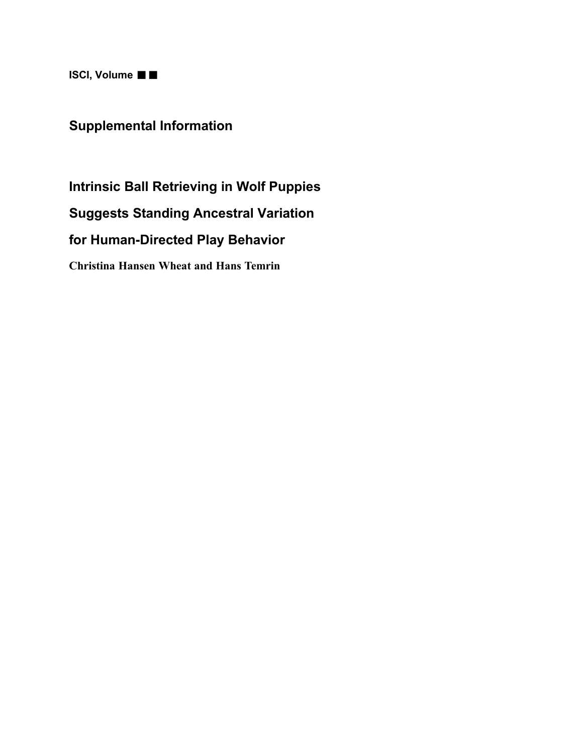$ISCI, Volume \blacksquare$ 

## Supplemental Information

Intrinsic Ball Retrieving in Wolf Puppies Suggests Standing Ancestral Variation for Human-Directed Play Behavior Christina Hansen Wheat and Hans Temrin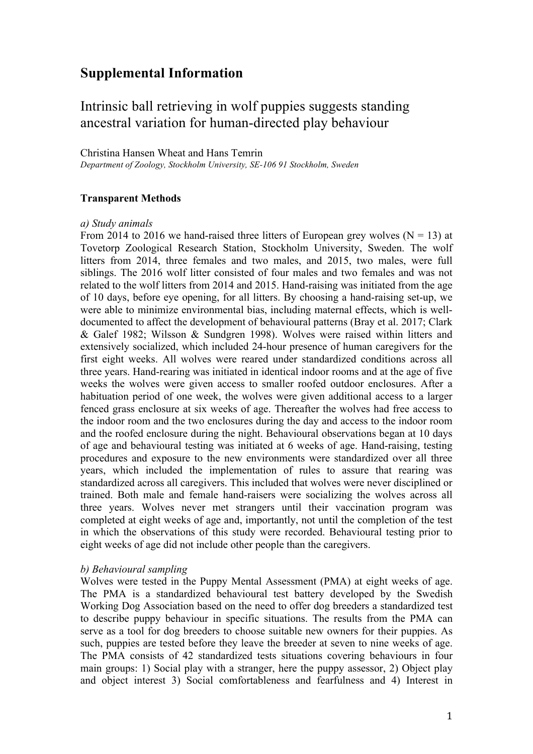## **Supplemental Information**

### Intrinsic ball retrieving in wolf puppies suggests standing ancestral variation for human-directed play behaviour

### Christina Hansen Wheat and Hans Temrin

*Department of Zoology, Stockholm University, SE-106 91 Stockholm, Sweden*

### **Transparent Methods**

### *a) Study animals*

From 2014 to 2016 we hand-raised three litters of European grey wolves  $(N = 13)$  at Tovetorp Zoological Research Station, Stockholm University, Sweden. The wolf litters from 2014, three females and two males, and 2015, two males, were full siblings. The 2016 wolf litter consisted of four males and two females and was not related to the wolf litters from 2014 and 2015. Hand-raising was initiated from the age of 10 days, before eye opening, for all litters. By choosing a hand-raising set-up, we were able to minimize environmental bias, including maternal effects, which is welldocumented to affect the development of behavioural patterns (Bray et al. 2017; Clark & Galef 1982; Wilsson & Sundgren 1998). Wolves were raised within litters and extensively socialized, which included 24-hour presence of human caregivers for the first eight weeks. All wolves were reared under standardized conditions across all three years. Hand-rearing was initiated in identical indoor rooms and at the age of five weeks the wolves were given access to smaller roofed outdoor enclosures. After a habituation period of one week, the wolves were given additional access to a larger fenced grass enclosure at six weeks of age. Thereafter the wolves had free access to the indoor room and the two enclosures during the day and access to the indoor room and the roofed enclosure during the night. Behavioural observations began at 10 days of age and behavioural testing was initiated at 6 weeks of age. Hand-raising, testing procedures and exposure to the new environments were standardized over all three years, which included the implementation of rules to assure that rearing was standardized across all caregivers. This included that wolves were never disciplined or trained. Both male and female hand-raisers were socializing the wolves across all three years. Wolves never met strangers until their vaccination program was completed at eight weeks of age and, importantly, not until the completion of the test in which the observations of this study were recorded. Behavioural testing prior to eight weeks of age did not include other people than the caregivers.

### *b) Behavioural sampling*

Wolves were tested in the Puppy Mental Assessment (PMA) at eight weeks of age. The PMA is a standardized behavioural test battery developed by the Swedish Working Dog Association based on the need to offer dog breeders a standardized test to describe puppy behaviour in specific situations. The results from the PMA can serve as a tool for dog breeders to choose suitable new owners for their puppies. As such, puppies are tested before they leave the breeder at seven to nine weeks of age. The PMA consists of 42 standardized tests situations covering behaviours in four main groups: 1) Social play with a stranger, here the puppy assessor, 2) Object play and object interest 3) Social comfortableness and fearfulness and 4) Interest in